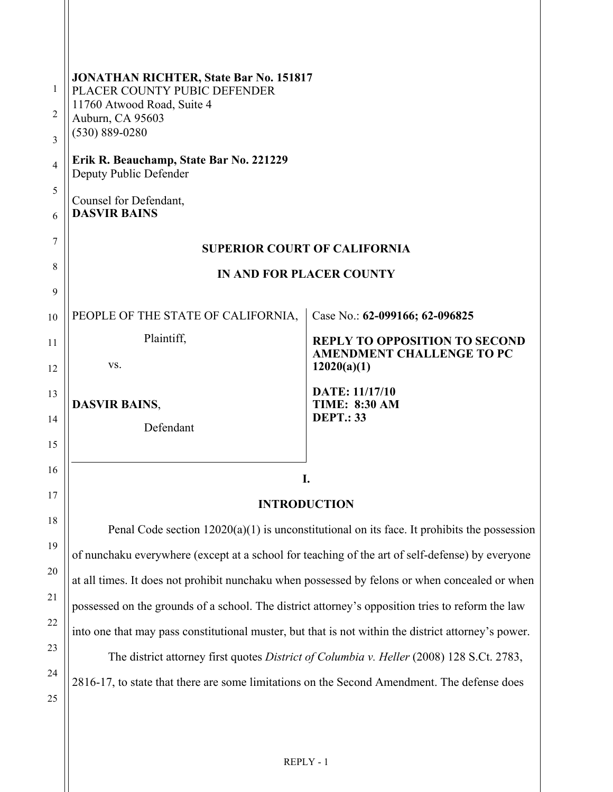| <b>JONATHAN RICHTER, State Bar No. 151817</b><br>1<br>PLACER COUNTY PUBIC DEFENDER<br>11760 Atwood Road, Suite 4<br>2<br>Auburn, CA 95603<br>$(530) 889 - 0280$<br>3<br>Erik R. Beauchamp, State Bar No. 221229<br>4<br>Deputy Public Defender                                                                                                                                                                                                                                                                                                                                                                                                                                                                                                           |                                                                                                                           |
|----------------------------------------------------------------------------------------------------------------------------------------------------------------------------------------------------------------------------------------------------------------------------------------------------------------------------------------------------------------------------------------------------------------------------------------------------------------------------------------------------------------------------------------------------------------------------------------------------------------------------------------------------------------------------------------------------------------------------------------------------------|---------------------------------------------------------------------------------------------------------------------------|
| 5<br>Counsel for Defendant,<br><b>DASVIR BAINS</b><br>6                                                                                                                                                                                                                                                                                                                                                                                                                                                                                                                                                                                                                                                                                                  |                                                                                                                           |
| 7<br><b>SUPERIOR COURT OF CALIFORNIA</b>                                                                                                                                                                                                                                                                                                                                                                                                                                                                                                                                                                                                                                                                                                                 |                                                                                                                           |
| 8<br><b>IN AND FOR PLACER COUNTY</b><br>9                                                                                                                                                                                                                                                                                                                                                                                                                                                                                                                                                                                                                                                                                                                |                                                                                                                           |
| PEOPLE OF THE STATE OF CALIFORNIA,<br>Plaintiff,<br>VS.                                                                                                                                                                                                                                                                                                                                                                                                                                                                                                                                                                                                                                                                                                  | Case No.: 62-099166; 62-096825<br><b>REPLY TO OPPOSITION TO SECOND</b><br><b>AMENDMENT CHALLENGE TO PC</b><br>12020(a)(1) |
| <b>DASVIR BAINS,</b><br>Defendant                                                                                                                                                                                                                                                                                                                                                                                                                                                                                                                                                                                                                                                                                                                        | <b>DATE: 11/17/10</b><br><b>TIME: 8:30 AM</b><br><b>DEPT.: 33</b>                                                         |
| 16<br>I.<br>17                                                                                                                                                                                                                                                                                                                                                                                                                                                                                                                                                                                                                                                                                                                                           |                                                                                                                           |
| 18<br>Penal Code section $12020(a)(1)$ is unconstitutional on its face. It prohibits the possession<br>19<br>of nunchaku everywhere (except at a school for teaching of the art of self-defense) by everyone<br>20<br>at all times. It does not prohibit nunchaku when possessed by felons or when concealed or when<br>21<br>possessed on the grounds of a school. The district attorney's opposition tries to reform the law<br>22<br>into one that may pass constitutional muster, but that is not within the district attorney's power.<br>23<br>The district attorney first quotes District of Columbia v. Heller (2008) 128 S.Ct. 2783,<br>24<br>2816-17, to state that there are some limitations on the Second Amendment. The defense does<br>25 |                                                                                                                           |
|                                                                                                                                                                                                                                                                                                                                                                                                                                                                                                                                                                                                                                                                                                                                                          | <b>INTRODUCTION</b>                                                                                                       |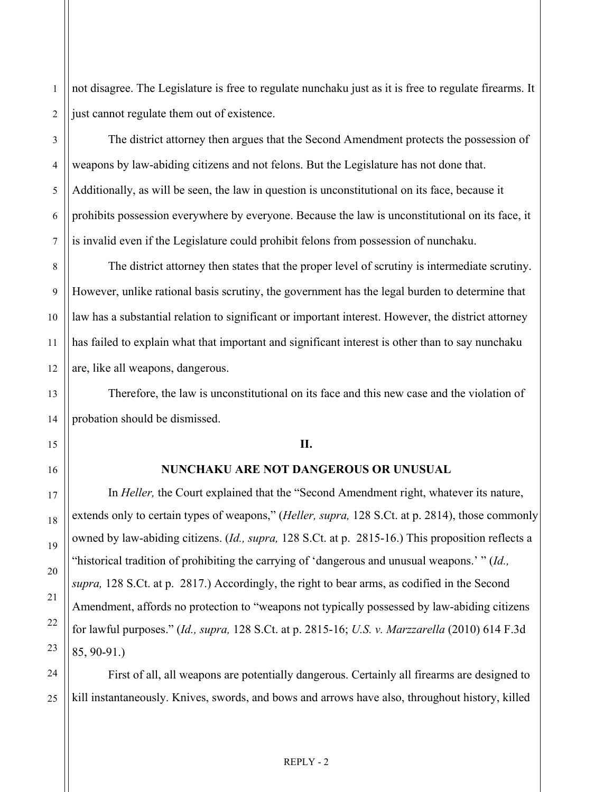not disagree. The Legislature is free to regulate nunchaku just as it is free to regulate firearms. It just cannot regulate them out of existence.

The district attorney then argues that the Second Amendment protects the possession of weapons by law-abiding citizens and not felons. But the Legislature has not done that. Additionally, as will be seen, the law in question is unconstitutional on its face, because it prohibits possession everywhere by everyone. Because the law is unconstitutional on its face, it is invalid even if the Legislature could prohibit felons from possession of nunchaku.

The district attorney then states that the proper level of scrutiny is intermediate scrutiny. However, unlike rational basis scrutiny, the government has the legal burden to determine that law has a substantial relation to significant or important interest. However, the district attorney has failed to explain what that important and significant interest is other than to say nunchaku are, like all weapons, dangerous.

Therefore, the law is unconstitutional on its face and this new case and the violation of probation should be dismissed.

### **II.**

### **NUNCHAKU ARE NOT DANGEROUS OR UNUSUAL**

In *Heller,* the Court explained that the "Second Amendment right, whatever its nature, extends only to certain types of weapons," (*Heller, supra,* 128 S.Ct. at p. 2814), those commonly owned by law-abiding citizens. (*Id., supra,* 128 S.Ct. at p. 2815-16.) This proposition reflects a "historical tradition of prohibiting the carrying of 'dangerous and unusual weapons.' " (*Id., supra,* 128 S.Ct. at p. 2817.) Accordingly, the right to bear arms, as codified in the Second Amendment, affords no protection to "weapons not typically possessed by law-abiding citizens for lawful purposes." (*Id., supra,* 128 S.Ct. at p. 2815-16; *U.S. v. Marzzarella* (2010) 614 F.3d 85, 90-91.)

First of all, all weapons are potentially dangerous. Certainly all firearms are designed to kill instantaneously. Knives, swords, and bows and arrows have also, throughout history, killed

1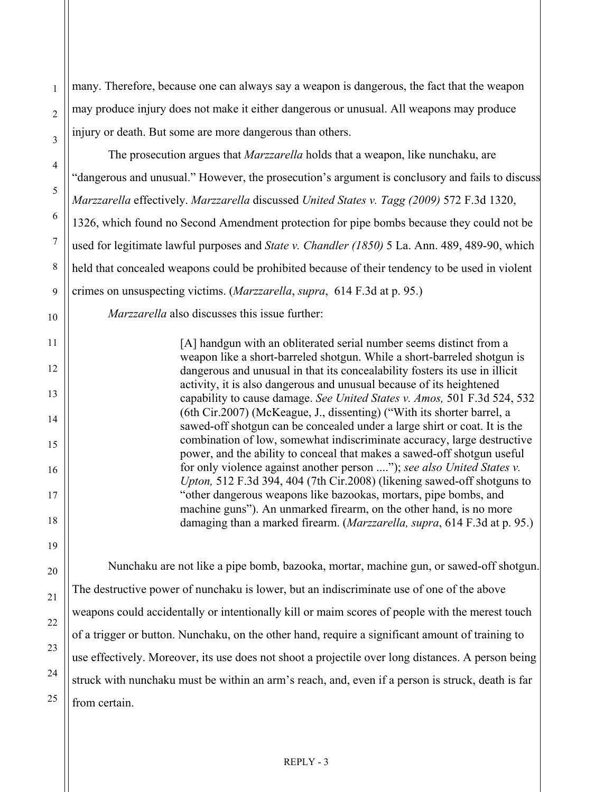many. Therefore, because one can always say a weapon is dangerous, the fact that the weapon may produce injury does not make it either dangerous or unusual. All weapons may produce injury or death. But some are more dangerous than others.

The prosecution argues that *Marzzarella* holds that a weapon, like nunchaku, are "dangerous and unusual." However, the prosecution's argument is conclusory and fails to discuss *Marzzarella* effectively. *Marzzarella* discussed *United States v. Tagg (2009)* 572 F.3d 1320, 1326, which found no Second Amendment protection for pipe bombs because they could not be used for legitimate lawful purposes and *State v. Chandler (1850)* 5 La. Ann. 489, 489-90, which held that concealed weapons could be prohibited because of their tendency to be used in violent crimes on unsuspecting victims. (*Marzzarella*, *supra*, 614 F.3d at p. 95.)

*Marzzarella* also discusses this issue further:

[A] handgun with an obliterated serial number seems distinct from a weapon like a short-barreled shotgun. While a short-barreled shotgun is dangerous and unusual in that its concealability fosters its use in illicit activity, it is also dangerous and unusual because of its heightened capability to cause damage. *See United States v. Amos,* 501 F.3d 524, 532 (6th Cir.2007) (McKeague, J., dissenting) ("With its shorter barrel, a sawed-off shotgun can be concealed under a large shirt or coat. It is the combination of low, somewhat indiscriminate accuracy, large destructive power, and the ability to conceal that makes a sawed-off shotgun useful for only violence against another person ...."); *see also United States v. Upton,* 512 F.3d 394, 404 (7th Cir.2008) (likening sawed-off shotguns to "other dangerous weapons like bazookas, mortars, pipe bombs, and machine guns"). An unmarked firearm, on the other hand, is no more damaging than a marked firearm. (*Marzzarella, supra*, 614 F.3d at p. 95.)

 Nunchaku are not like a pipe bomb, bazooka, mortar, machine gun, or sawed-off shotgun. The destructive power of nunchaku is lower, but an indiscriminate use of one of the above weapons could accidentally or intentionally kill or maim scores of people with the merest touch of a trigger or button. Nunchaku, on the other hand, require a significant amount of training to use effectively. Moreover, its use does not shoot a projectile over long distances. A person being struck with nunchaku must be within an arm's reach, and, even if a person is struck, death is far from certain.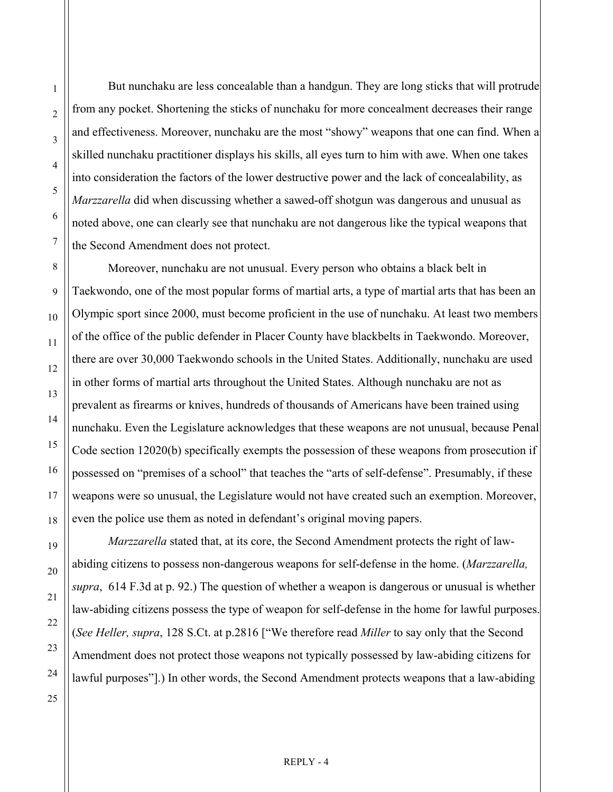But nunchaku are less concealable than a handgun. They are long sticks that will protrude from any pocket. Shortening the sticks of nunchaku for more concealment decreases their range and effectiveness. Moreover, nunchaku are the most "showy" weapons that one can find. When a skilled nunchaku practitioner displays his skills, all eyes turn to him with awe. When one takes into consideration the factors of the lower destructive power and the lack of concealability, as *Marzzarella* did when discussing whether a sawed-off shotgun was dangerous and unusual as noted above, one can clearly see that nunchaku are not dangerous like the typical weapons that the Second Amendment does not protect.

 Moreover, nunchaku are not unusual. Every person who obtains a black belt in Taekwondo, one of the most popular forms of martial arts, a type of martial arts that has been an Olympic sport since 2000, must become proficient in the use of nunchaku. At least two members of the office of the public defender in Placer County have blackbelts in Taekwondo. Moreover, there are over 30,000 Taekwondo schools in the United States. Additionally, nunchaku are used in other forms of martial arts throughout the United States. Although nunchaku are not as prevalent as firearms or knives, hundreds of thousands of Americans have been trained using nunchaku. Even the Legislature acknowledges that these weapons are not unusual, because Penal Code section 12020(b) specifically exempts the possession of these weapons from prosecution if possessed on "premises of a school" that teaches the "arts of self-defense". Presumably, if these weapons were so unusual, the Legislature would not have created such an exemption. Moreover, even the police use them as noted in defendant's original moving papers.

*Marzzarella* stated that, at its core, the Second Amendment protects the right of lawabiding citizens to possess non-dangerous weapons for self-defense in the home. (*Marzzarella, supra*, 614 F.3d at p. 92.) The question of whether a weapon is dangerous or unusual is whether law-abiding citizens possess the type of weapon for self-defense in the home for lawful purposes. (*See Heller, supra*, 128 S.Ct. at p.2816 ["We therefore read *Miller* to say only that the Second Amendment does not protect those weapons not typically possessed by law-abiding citizens for lawful purposes"].) In other words, the Second Amendment protects weapons that a law-abiding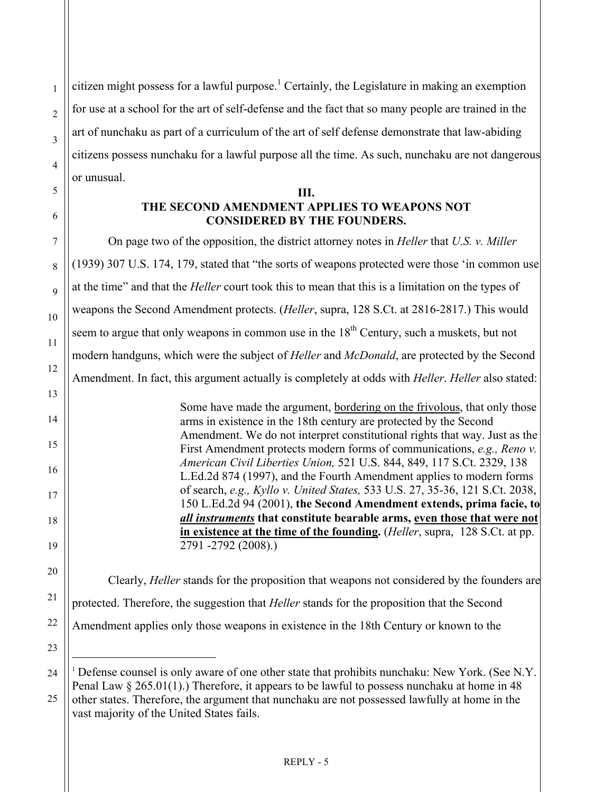citizen might possess for a lawful purpose.<sup>[1](#page-4-0)</sup> Certainly, the Legislature in making an exemption for use at a school for the art of self-defense and the fact that so many people are trained in the art of nunchaku as part of a curriculum of the art of self defense demonstrate that law-abiding citizens possess nunchaku for a lawful purpose all the time. As such, nunchaku are not dangerous or unusual.

## **III. THE SECOND AMENDMENT APPLIES TO WEAPONS NOT CONSIDERED BY THE FOUNDERS.**

 On page two of the opposition, the district attorney notes in *Heller* that *U.S. v. Miller* (1939) 307 U.S. 174, 179, stated that "the sorts of weapons protected were those 'in common use at the time" and that the *Heller* court took this to mean that this is a limitation on the types of weapons the Second Amendment protects. (*Heller*, supra, 128 S.Ct. at 2816-2817.) This would seem to argue that only weapons in common use in the  $18<sup>th</sup>$  Century, such a muskets, but not modern handguns, which were the subject of *Heller* and *McDonald*, are protected by the Second Amendment. In fact, this argument actually is completely at odds with *Heller*. *Heller* also stated: Some have made the argument, bordering on the frivolous, that only those

arms in existence in the 18th century are protected by the Second Amendment. We do not interpret constitutional rights that way. Just as the First Amendment protects modern forms of communications, *e.g., Reno v. American Civil Liberties Union,* 521 U.S. 844, 849, 117 S.Ct. 2329, 138 L.Ed.2d 874 (1997), and the Fourth Amendment applies to modern forms of search, *e.g., Kyllo v. United States,* 533 U.S. 27, 35-36, 121 S.Ct. 2038, 150 L.Ed.2d 94 (2001), **the Second Amendment extends, prima facie, to**  *all instruments* **that constitute bearable arms, even those that were not in existence at the time of the founding.** (*Heller*, supra, 128 S.Ct. at pp. 2791 -2792 (2008).)

 Clearly, *Heller* stands for the proposition that weapons not considered by the founders are protected. Therefore, the suggestion that *Heller* stands for the proposition that the Second Amendment applies only those weapons in existence in the 18th Century or known to the

<span id="page-4-0"></span> $\overline{\phantom{a}}$ 

1

<sup>&</sup>lt;sup>1</sup> Defense counsel is only aware of one other state that prohibits nunchaku: New York. (See N.Y. Penal Law § 265.01(1).) Therefore, it appears to be lawful to possess nunchaku at home in 48

<sup>25</sup>  other states. Therefore, the argument that nunchaku are not possessed lawfully at home in the vast majority of the United States fails.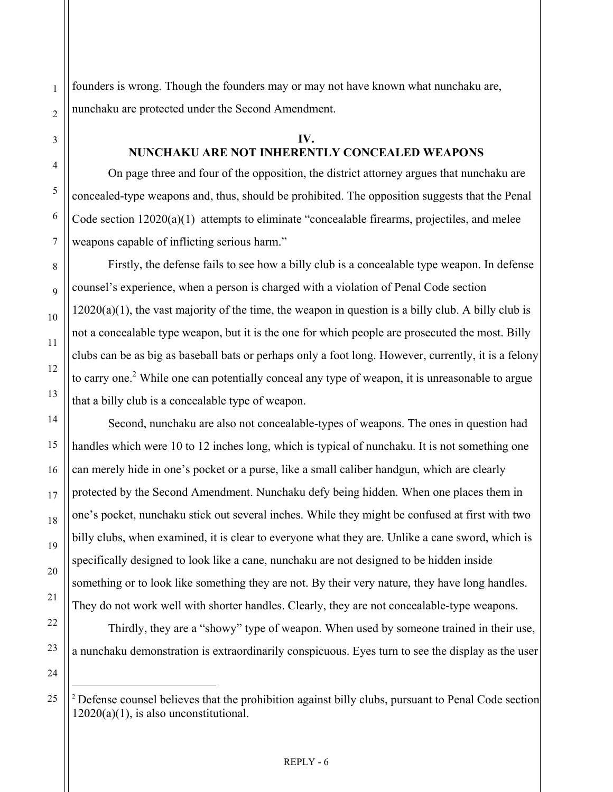founders is wrong. Though the founders may or may not have known what nunchaku are, nunchaku are protected under the Second Amendment.

#### **IV.**

## **NUNCHAKU ARE NOT INHERENTLY CONCEALED WEAPONS**

 On page three and four of the opposition, the district attorney argues that nunchaku are concealed-type weapons and, thus, should be prohibited. The opposition suggests that the Penal Code section 12020(a)(1) attempts to eliminate "concealable firearms, projectiles, and melee weapons capable of inflicting serious harm."

 Firstly, the defense fails to see how a billy club is a concealable type weapon. In defense counsel's experience, when a person is charged with a violation of Penal Code section  $12020(a)(1)$ , the vast majority of the time, the weapon in question is a billy club. A billy club is not a concealable type weapon, but it is the one for which people are prosecuted the most. Billy clubs can be as big as baseball bats or perhaps only a foot long. However, currently, it is a felony to carry one.<sup>2</sup> While one can potentially conceal any type of weapon, it is unreasonable to argue that a billy club is a concealable type of weapon.

 Second, nunchaku are also not concealable-types of weapons. The ones in question had handles which were 10 to 12 inches long, which is typical of nunchaku. It is not something one can merely hide in one's pocket or a purse, like a small caliber handgun, which are clearly protected by the Second Amendment. Nunchaku defy being hidden. When one places them in one's pocket, nunchaku stick out several inches. While they might be confused at first with two billy clubs, when examined, it is clear to everyone what they are. Unlike a cane sword, which is specifically designed to look like a cane, nunchaku are not designed to be hidden inside something or to look like something they are not. By their very nature, they have long handles. They do not work well with shorter handles. Clearly, they are not concealable-type weapons.

 Thirdly, they are a "showy" type of weapon. When used by someone trained in their use, a nunchaku demonstration is extraordinarily conspicuous. Eyes turn to see the display as the user

25

<span id="page-5-0"></span>-

1

2

3

4

5

6

7

8

9

10

11

12

13

14

15

16

17

18

19

20

21

22

23

<sup>&</sup>lt;sup>2</sup> Defense counsel believes that the prohibition against billy clubs, pursuant to Penal Code section 12020(a)(1), is also unconstitutional.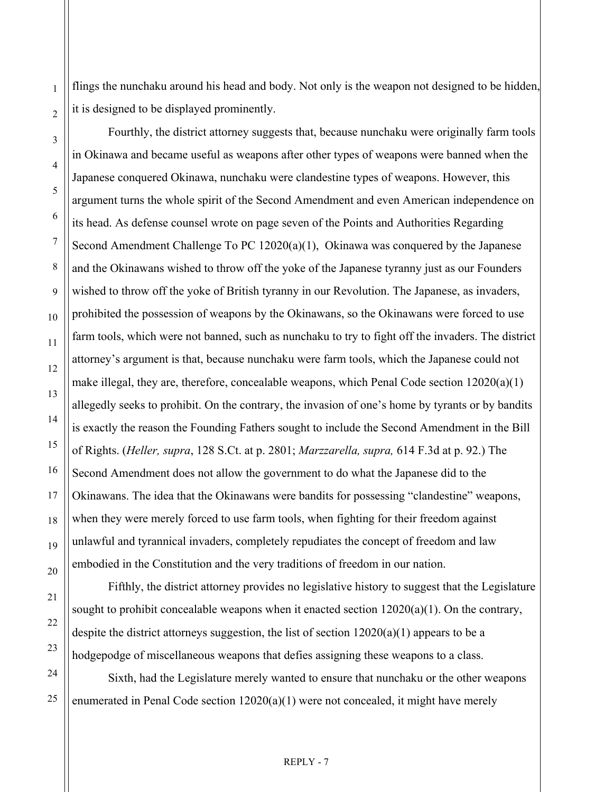flings the nunchaku around his head and body. Not only is the weapon not designed to be hidden, it is designed to be displayed prominently.

 Fourthly, the district attorney suggests that, because nunchaku were originally farm tools in Okinawa and became useful as weapons after other types of weapons were banned when the Japanese conquered Okinawa, nunchaku were clandestine types of weapons. However, this argument turns the whole spirit of the Second Amendment and even American independence on its head. As defense counsel wrote on page seven of the Points and Authorities Regarding Second Amendment Challenge To PC 12020(a)(1), Okinawa was conquered by the Japanese and the Okinawans wished to throw off the yoke of the Japanese tyranny just as our Founders wished to throw off the yoke of British tyranny in our Revolution. The Japanese, as invaders, prohibited the possession of weapons by the Okinawans, so the Okinawans were forced to use farm tools, which were not banned, such as nunchaku to try to fight off the invaders. The district attorney's argument is that, because nunchaku were farm tools, which the Japanese could not make illegal, they are, therefore, concealable weapons, which Penal Code section  $12020(a)(1)$ allegedly seeks to prohibit. On the contrary, the invasion of one's home by tyrants or by bandits is exactly the reason the Founding Fathers sought to include the Second Amendment in the Bill of Rights. (*Heller, supra*, 128 S.Ct. at p. 2801; *Marzzarella, supra,* 614 F.3d at p. 92.) The Second Amendment does not allow the government to do what the Japanese did to the Okinawans. The idea that the Okinawans were bandits for possessing "clandestine" weapons, when they were merely forced to use farm tools, when fighting for their freedom against unlawful and tyrannical invaders, completely repudiates the concept of freedom and law embodied in the Constitution and the very traditions of freedom in our nation.

1

2

3

4

5

6

7

8

9

10

11

12

13

14

15

16

17

18

 Fifthly, the district attorney provides no legislative history to suggest that the Legislature sought to prohibit concealable weapons when it enacted section 12020(a)(1). On the contrary, despite the district attorneys suggestion, the list of section 12020(a)(1) appears to be a hodgepodge of miscellaneous weapons that defies assigning these weapons to a class.

 Sixth, had the Legislature merely wanted to ensure that nunchaku or the other weapons enumerated in Penal Code section 12020(a)(1) were not concealed, it might have merely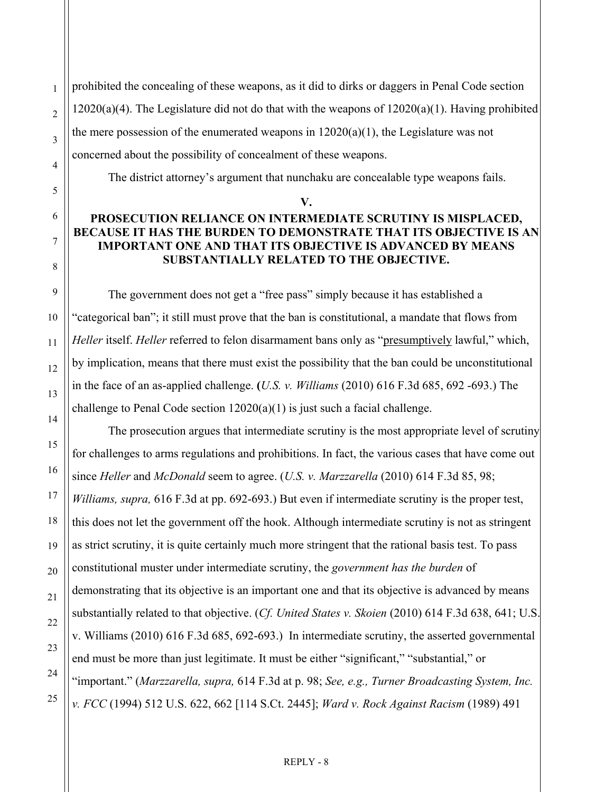prohibited the concealing of these weapons, as it did to dirks or daggers in Penal Code section  $12020(a)(4)$ . The Legislature did not do that with the weapons of  $12020(a)(1)$ . Having prohibited the mere possession of the enumerated weapons in  $12020(a)(1)$ , the Legislature was not concerned about the possibility of concealment of these weapons.

The district attorney's argument that nunchaku are concealable type weapons fails.

# **V. PROSECUTION RELIANCE ON INTERMEDIATE SCRUTINY IS MISPLACED, BECAUSE IT HAS THE BURDEN TO DEMONSTRATE THAT ITS OBJECTIVE IS AN IMPORTANT ONE AND THAT ITS OBJECTIVE IS ADVANCED BY MEANS SUBSTANTIALLY RELATED TO THE OBJECTIVE.**

The government does not get a "free pass" simply because it has established a "categorical ban"; it still must prove that the ban is constitutional, a mandate that flows from *Heller* itself. *Heller* referred to felon disarmament bans only as "presumptively lawful," which, by implication, means that there must exist the possibility that the ban could be unconstitutional in the face of an as-applied challenge. **(***U.S. v. Williams* (2010) 616 F.3d 685, 692 -693.) The challenge to Penal Code section 12020(a)(1) is just such a facial challenge.

The prosecution argues that intermediate scrutiny is the most appropriate level of scrutiny for challenges to arms regulations and prohibitions. In fact, the various cases that have come out since *Heller* and *McDonald* seem to agree. (*U.S. v. Marzzarella* (2010) 614 F.3d 85, 98; *Williams, supra,* 616 F.3d at pp. 692-693.) But even if intermediate scrutiny is the proper test, this does not let the government off the hook. Although intermediate scrutiny is not as stringent as strict scrutiny, it is quite certainly much more stringent that the rational basis test. To pass constitutional muster under intermediate scrutiny, the *government has the burden* of demonstrating that its objective is an important one and that its objective is advanced by means substantially related to that objective. (*Cf. United States v. Skoien* (2010) 614 F.3d 638, 641; U.S. v. Williams (2010) 616 F.3d 685, 692-693.) In intermediate scrutiny, the asserted governmental end must be more than just legitimate. It must be either "significant," "substantial," or "important." (*Marzzarella, supra,* 614 F.3d at p. 98; *See, e.g., Turner Broadcasting System, Inc. v. FCC* (1994) 512 U.S. 622, 662 [114 S.Ct. 2445]; *Ward v. Rock Against Racism* (1989) 491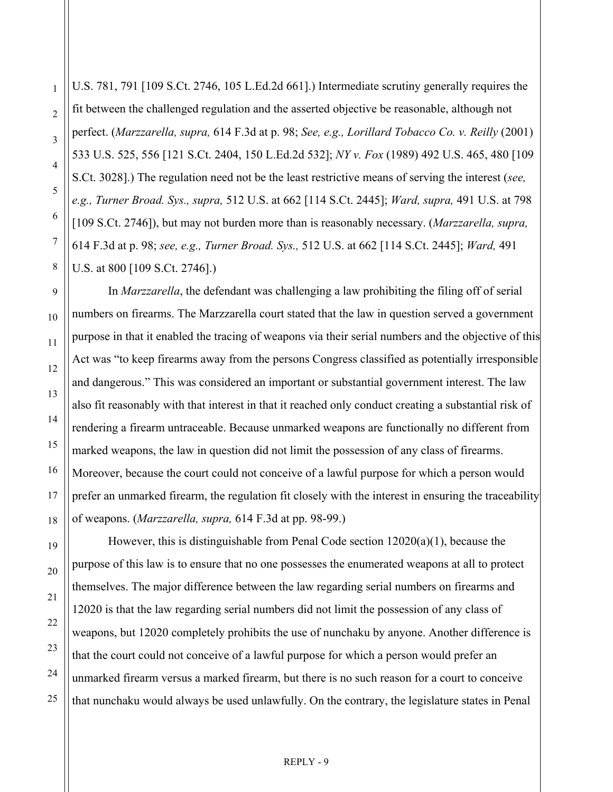U.S. 781, 791 [109 S.Ct. 2746, 105 L.Ed.2d 661].) Intermediate scrutiny generally requires the fit between the challenged regulation and the asserted objective be reasonable, although not perfect. (*Marzzarella, supra,* 614 F.3d at p. 98; *See, e.g., Lorillard Tobacco Co. v. Reilly* (2001) 533 U.S. 525, 556 [121 S.Ct. 2404, 150 L.Ed.2d 532]; *NY v. Fox* (1989) 492 U.S. 465, 480 [109 S.Ct. 3028].) The regulation need not be the least restrictive means of serving the interest (*see, e.g., Turner Broad. Sys., supra,* 512 U.S. at 662 [114 S.Ct. 2445]; *Ward, supra,* 491 U.S. at 798 [109 S.Ct. 2746]), but may not burden more than is reasonably necessary. (*Marzzarella, supra,* 614 F.3d at p. 98; *see, e.g., Turner Broad. Sys.,* 512 U.S. at 662 [114 S.Ct. 2445]; *Ward,* 491 U.S. at 800 [109 S.Ct. 2746].)

In *Marzzarella*, the defendant was challenging a law prohibiting the filing off of serial numbers on firearms. The Marzzarella court stated that the law in question served a government purpose in that it enabled the tracing of weapons via their serial numbers and the objective of this Act was "to keep firearms away from the persons Congress classified as potentially irresponsible and dangerous." This was considered an important or substantial government interest. The law also fit reasonably with that interest in that it reached only conduct creating a substantial risk of rendering a firearm untraceable. Because unmarked weapons are functionally no different from marked weapons, the law in question did not limit the possession of any class of firearms. Moreover, because the court could not conceive of a lawful purpose for which a person would prefer an unmarked firearm, the regulation fit closely with the interest in ensuring the traceability of weapons. (*Marzzarella, supra,* 614 F.3d at pp. 98-99.)

However, this is distinguishable from Penal Code section  $12020(a)(1)$ , because the purpose of this law is to ensure that no one possesses the enumerated weapons at all to protect themselves. The major difference between the law regarding serial numbers on firearms and 12020 is that the law regarding serial numbers did not limit the possession of any class of weapons, but 12020 completely prohibits the use of nunchaku by anyone. Another difference is that the court could not conceive of a lawful purpose for which a person would prefer an unmarked firearm versus a marked firearm, but there is no such reason for a court to conceive that nunchaku would always be used unlawfully. On the contrary, the legislature states in Penal

1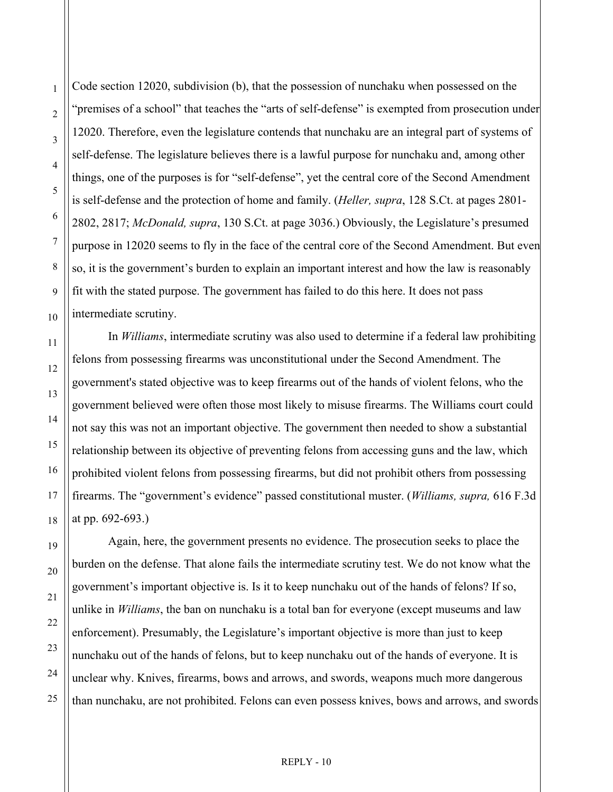Code section 12020, subdivision (b), that the possession of nunchaku when possessed on the "premises of a school" that teaches the "arts of self-defense" is exempted from prosecution under 12020. Therefore, even the legislature contends that nunchaku are an integral part of systems of self-defense. The legislature believes there is a lawful purpose for nunchaku and, among other things, one of the purposes is for "self-defense", yet the central core of the Second Amendment is self-defense and the protection of home and family. (*Heller, supra*, 128 S.Ct. at pages 2801- 2802, 2817; *McDonald, supra*, 130 S.Ct. at page 3036.) Obviously, the Legislature's presumed purpose in 12020 seems to fly in the face of the central core of the Second Amendment. But even so, it is the government's burden to explain an important interest and how the law is reasonably fit with the stated purpose. The government has failed to do this here. It does not pass intermediate scrutiny.

In *Williams*, intermediate scrutiny was also used to determine if a federal law prohibiting felons from possessing firearms was unconstitutional under the Second Amendment. The government's stated objective was to keep firearms out of the hands of violent felons, who the government believed were often those most likely to misuse firearms. The Williams court could not say this was not an important objective. The government then needed to show a substantial relationship between its objective of preventing felons from accessing guns and the law, which prohibited violent felons from possessing firearms, but did not prohibit others from possessing firearms. The "government's evidence" passed constitutional muster. (*Williams, supra,* 616 F.3d at pp. 692-693.)

 Again, here, the government presents no evidence. The prosecution seeks to place the burden on the defense. That alone fails the intermediate scrutiny test. We do not know what the government's important objective is. Is it to keep nunchaku out of the hands of felons? If so, unlike in *Williams*, the ban on nunchaku is a total ban for everyone (except museums and law enforcement). Presumably, the Legislature's important objective is more than just to keep nunchaku out of the hands of felons, but to keep nunchaku out of the hands of everyone. It is unclear why. Knives, firearms, bows and arrows, and swords, weapons much more dangerous than nunchaku, are not prohibited. Felons can even possess knives, bows and arrows, and swords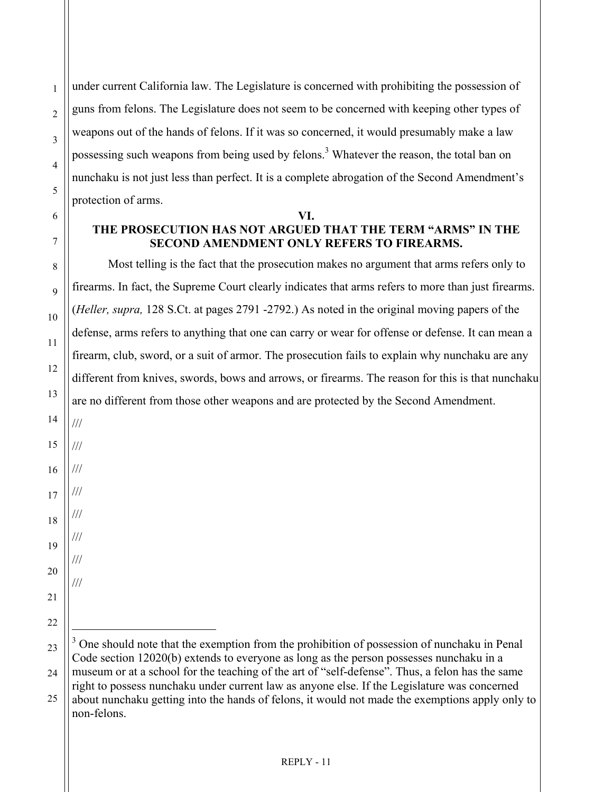under current California law. The Legislature is concerned with prohibiting the possession of guns from felons. The Legislature does not seem to be concerned with keeping other types of weapons out of the hands of felons. If it was so concerned, it would presumably make a law possessing such weapons from being used by felons.<sup>[3](#page-10-0)</sup> Whatever the reason, the total ban on nunchaku is not just less than perfect. It is a complete abrogation of the Second Amendment's protection of arms.

## **VI. THE PROSECUTION HAS NOT ARGUED THAT THE TERM "ARMS" IN THE SECOND AMENDMENT ONLY REFERS TO FIREARMS.**

 Most telling is the fact that the prosecution makes no argument that arms refers only to firearms. In fact, the Supreme Court clearly indicates that arms refers to more than just firearms. (*Heller, supra,* 128 S.Ct. at pages 2791 -2792.) As noted in the original moving papers of the defense, arms refers to anything that one can carry or wear for offense or defense. It can mean a firearm, club, sword, or a suit of armor. The prosecution fails to explain why nunchaku are any different from knives, swords, bows and arrows, or firearms. The reason for this is that nunchaku are no different from those other weapons and are protected by the Second Amendment.

- 15 16 17 18 19
- 22 23

 $\overline{a}$ 

<span id="page-10-0"></span> $3$  One should note that the exemption from the prohibition of possession of nunchaku in Penal

///

///

///

///

///

///

///

///

<sup>24</sup> 

Code section 12020(b) extends to everyone as long as the person possesses nunchaku in a museum or at a school for the teaching of the art of "self-defense". Thus, a felon has the same right to possess nunchaku under current law as anyone else. If the Legislature was concerned about nunchaku getting into the hands of felons, it would not made the exemptions apply only to

non-felons.